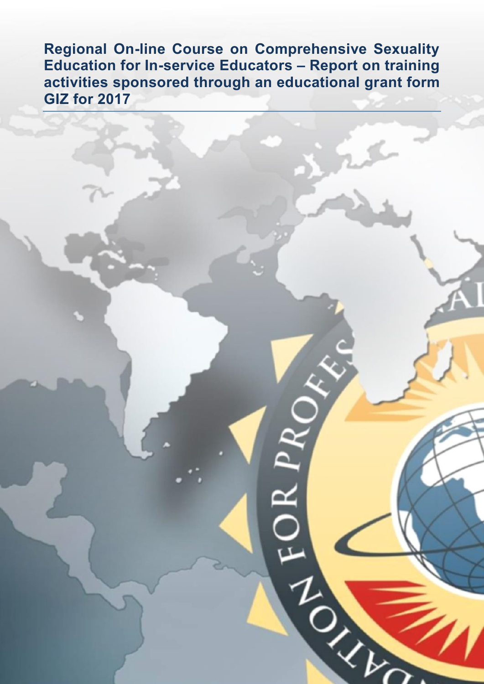**Regional On-line Course on Comprehensive Sexuality Education for In-service Educators – Report on training activities sponsored through an educational grant form GIZ for 2017** 

120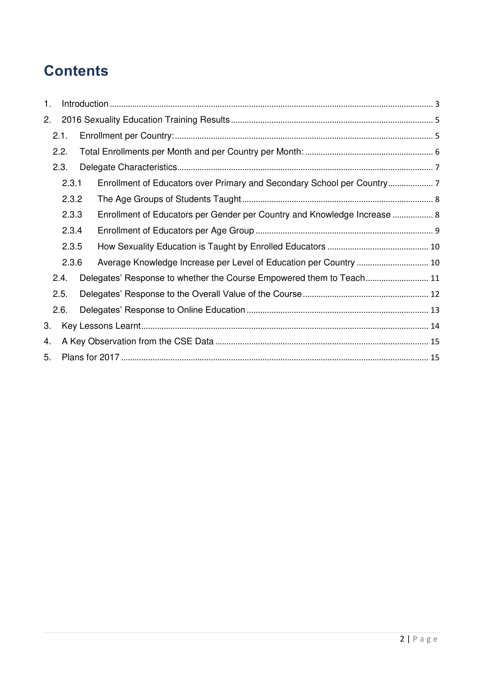# **Contents**

| 5. |                                                          |                                                    |                                                                                                                                                                                                                                                                                                |  |  |
|----|----------------------------------------------------------|----------------------------------------------------|------------------------------------------------------------------------------------------------------------------------------------------------------------------------------------------------------------------------------------------------------------------------------------------------|--|--|
|    | 2.<br>2.1.<br>2.2.<br>2.3.<br>2.4.<br>2.5.<br>2.6.<br>3. | 2.3.1<br>2.3.2<br>2.3.3<br>2.3.4<br>2.3.5<br>2.3.6 | Enrollment of Educators over Primary and Secondary School per Country<br>Enrollment of Educators per Gender per Country and Knowledge Increase  8<br>Average Knowledge Increase per Level of Education per Country  10<br>Delegates' Response to whether the Course Empowered them to Teach 11 |  |  |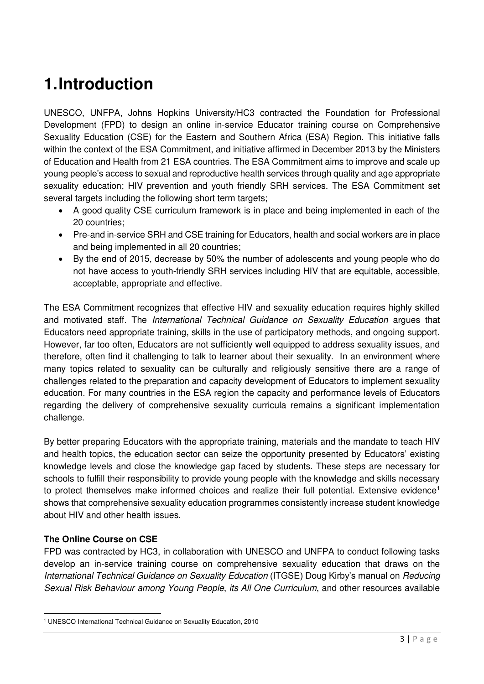# <span id="page-2-0"></span>**1. Introduction**

UNESCO, UNFPA, Johns Hopkins University/HC3 contracted the Foundation for Professional Development (FPD) to design an online in-service Educator training course on Comprehensive Sexuality Education (CSE) for the Eastern and Southern Africa (ESA) Region. This initiative falls within the context of the ESA Commitment, and initiative affirmed in December 2013 by the Ministers of Education and Health from 21 ESA countries. The ESA Commitment aims to improve and scale up young people's access to sexual and reproductive health services through quality and age appropriate sexuality education; HIV prevention and youth friendly SRH services. The ESA Commitment set several targets including the following short term targets:

- A good quality CSE curriculum framework is in place and being implemented in each of the 20 countries;
- Pre-and in-service SRH and CSE training for Educators, health and social workers are in place and being implemented in all 20 countries;
- By the end of 2015, decrease by 50% the number of adolescents and young people who do not have access to youth-friendly SRH services including HIV that are equitable, accessible, acceptable, appropriate and effective.

The ESA Commitment recognizes that effective HIV and sexuality education requires highly skilled and motivated staff. The International Technical Guidance on Sexuality Education argues that Educators need appropriate training, skills in the use of participatory methods, and ongoing support. However, far too often, Educators are not sufficiently well equipped to address sexuality issues, and therefore, often find it challenging to talk to learner about their sexuality. In an environment where many topics related to sexuality can be culturally and religiously sensitive there are a range of challenges related to the preparation and capacity development of Educators to implement sexuality education. For many countries in the ESA region the capacity and performance levels of Educators regarding the delivery of comprehensive sexuality curricula remains a significant implementation challenge.

By better preparing Educators with the appropriate training, materials and the mandate to teach HIV and health topics, the education sector can seize the opportunity presented by Educators' existing knowledge levels and close the knowledge gap faced by students. These steps are necessary for schools to fulfill their responsibility to provide young people with the knowledge and skills necessary to protect themselves make informed choices and realize their full potential. Extensive evidence<sup>1</sup> shows that comprehensive sexuality education programmes consistently increase student knowledge about HIV and other health issues.

### **The Online Course on CSE**

-

FPD was contracted by HC3, in collaboration with UNESCO and UNFPA to conduct following tasks develop an in-service training course on comprehensive sexuality education that draws on the International Technical Guidance on Sexuality Education (ITGSE) Doug Kirby's manual on Reducing Sexual Risk Behaviour among Young People, its All One Curriculum, and other resources available

<sup>1</sup> UNESCO International Technical Guidance on Sexuality Education, 2010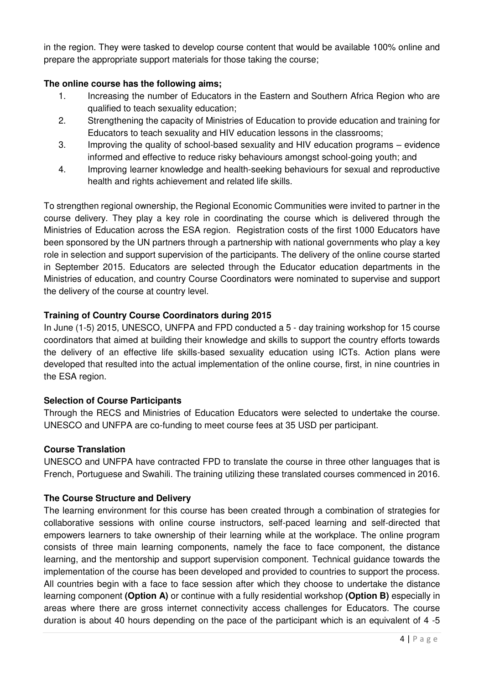in the region. They were tasked to develop course content that would be available 100% online and prepare the appropriate support materials for those taking the course;

### **The online course has the following aims;**

- 1. Increasing the number of Educators in the Eastern and Southern Africa Region who are qualified to teach sexuality education;
- 2. Strengthening the capacity of Ministries of Education to provide education and training for Educators to teach sexuality and HIV education lessons in the classrooms;
- 3. Improving the quality of school-based sexuality and HIV education programs evidence informed and effective to reduce risky behaviours amongst school-going youth; and
- 4. Improving learner knowledge and health-seeking behaviours for sexual and reproductive health and rights achievement and related life skills.

To strengthen regional ownership, the Regional Economic Communities were invited to partner in the course delivery. They play a key role in coordinating the course which is delivered through the Ministries of Education across the ESA region. Registration costs of the first 1000 Educators have been sponsored by the UN partners through a partnership with national governments who play a key role in selection and support supervision of the participants. The delivery of the online course started in September 2015. Educators are selected through the Educator education departments in the Ministries of education, and country Course Coordinators were nominated to supervise and support the delivery of the course at country level.

## **Training of Country Course Coordinators during 2015**

In June (1-5) 2015, UNESCO, UNFPA and FPD conducted a 5 - day training workshop for 15 course coordinators that aimed at building their knowledge and skills to support the country efforts towards the delivery of an effective life skills-based sexuality education using ICTs. Action plans were developed that resulted into the actual implementation of the online course, first, in nine countries in the ESA region.

### **Selection of Course Participants**

Through the RECS and Ministries of Education Educators were selected to undertake the course. UNESCO and UNFPA are co-funding to meet course fees at 35 USD per participant.

### **Course Translation**

UNESCO and UNFPA have contracted FPD to translate the course in three other languages that is French, Portuguese and Swahili. The training utilizing these translated courses commenced in 2016.

### **The Course Structure and Delivery**

The learning environment for this course has been created through a combination of strategies for collaborative sessions with online course instructors, self-paced learning and self-directed that empowers learners to take ownership of their learning while at the workplace. The online program consists of three main learning components, namely the face to face component, the distance learning, and the mentorship and support supervision component. Technical guidance towards the implementation of the course has been developed and provided to countries to support the process. All countries begin with a face to face session after which they choose to undertake the distance learning component **(Option A)** or continue with a fully residential workshop **(Option B)** especially in areas where there are gross internet connectivity access challenges for Educators. The course duration is about 40 hours depending on the pace of the participant which is an equivalent of 4 -5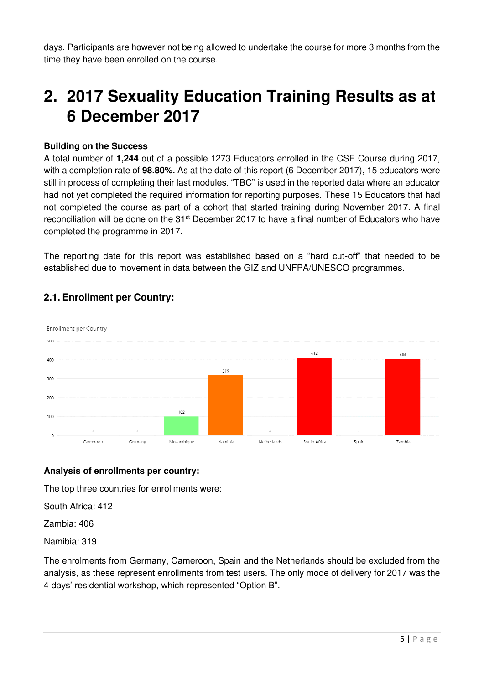days. Participants are however not being allowed to undertake the course for more 3 months from the time they have been enrolled on the course.

# <span id="page-4-0"></span>**2. 2017 Sexuality Education Training Results as at 6 December 2017**

#### **Building on the Success**

A total number of **1,244** out of a possible 1273 Educators enrolled in the CSE Course during 2017, with a completion rate of **98.80%.** As at the date of this report (6 December 2017), 15 educators were still in process of completing their last modules. "TBC" is used in the reported data where an educator had not yet completed the required information for reporting purposes. These 15 Educators that had not completed the course as part of a cohort that started training during November 2017. A final reconciliation will be done on the  $31<sup>st</sup>$  December 2017 to have a final number of Educators who have completed the programme in 2017.

The reporting date for this report was established based on a "hard cut-off" that needed to be established due to movement in data between the GIZ and UNFPA/UNESCO programmes.



## <span id="page-4-1"></span>**2.1. Enrollment per Country:**

## **Analysis of enrollments per country:**

The top three countries for enrollments were:

South Africa: 412

Zambia: 406

Namibia: 319

The enrolments from Germany, Cameroon, Spain and the Netherlands should be excluded from the analysis, as these represent enrollments from test users. The only mode of delivery for 2017 was the 4 days' residential workshop, which represented "Option B".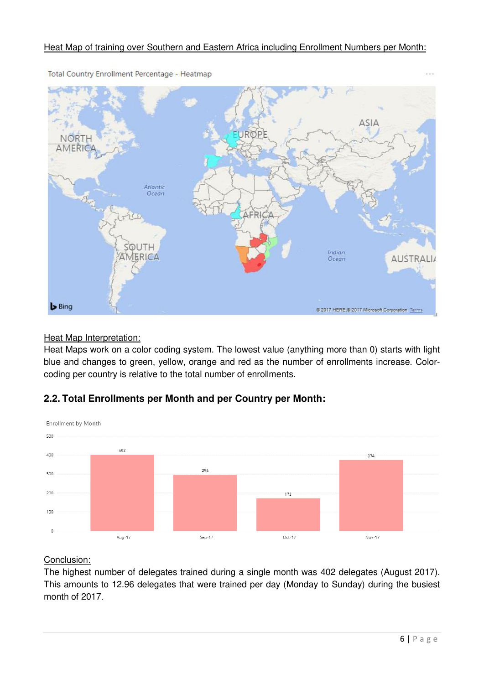### Heat Map of training over Southern and Eastern Africa including Enrollment Numbers per Month:



Total Country Enrollment Percentage - Heatmap

#### Heat Map Interpretation:

Heat Maps work on a color coding system. The lowest value (anything more than 0) starts with light blue and changes to green, yellow, orange and red as the number of enrollments increase. Colorcoding per country is relative to the total number of enrollments.

## <span id="page-5-0"></span>**2.2. Total Enrollments per Month and per Country per Month:**



### Conclusion:

The highest number of delegates trained during a single month was 402 delegates (August 2017). This amounts to 12.96 delegates that were trained per day (Monday to Sunday) during the busiest month of 2017.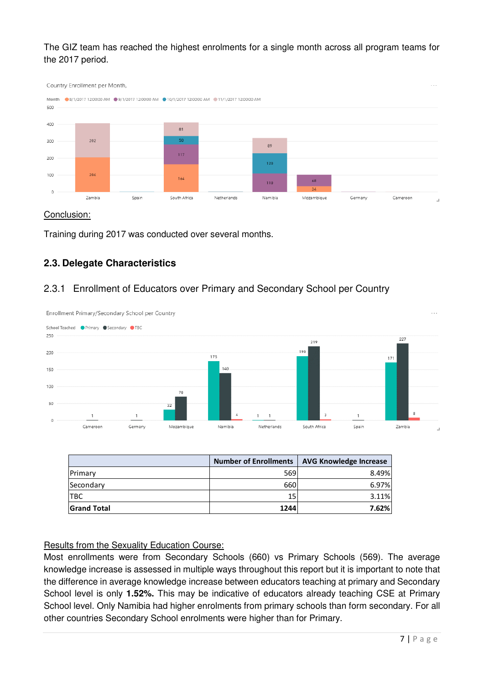The GIZ team has reached the highest enrolments for a single month across all program teams for the 2017 period.



#### Conclusion:

Training during 2017 was conducted over several months.

## <span id="page-6-0"></span>**2.3. Delegate Characteristics**

### <span id="page-6-1"></span>2.3.1 Enrollment of Educators over Primary and Secondary School per Country



|                    | <b>Number of Enrollments</b> | <b>AVG Knowledge Increase</b> |
|--------------------|------------------------------|-------------------------------|
| Primary            | 569                          | 8.49%                         |
| Secondary          | 660                          | 6.97%                         |
| <b>ITBC</b>        | 15                           | 3.11%                         |
| <b>Grand Total</b> | 1244                         | 7.62%                         |

#### Results from the Sexuality Education Course:

Most enrollments were from Secondary Schools (660) vs Primary Schools (569). The average knowledge increase is assessed in multiple ways throughout this report but it is important to note that the difference in average knowledge increase between educators teaching at primary and Secondary School level is only **1.52%.** This may be indicative of educators already teaching CSE at Primary School level. Only Namibia had higher enrolments from primary schools than form secondary. For all other countries Secondary School enrolments were higher than for Primary.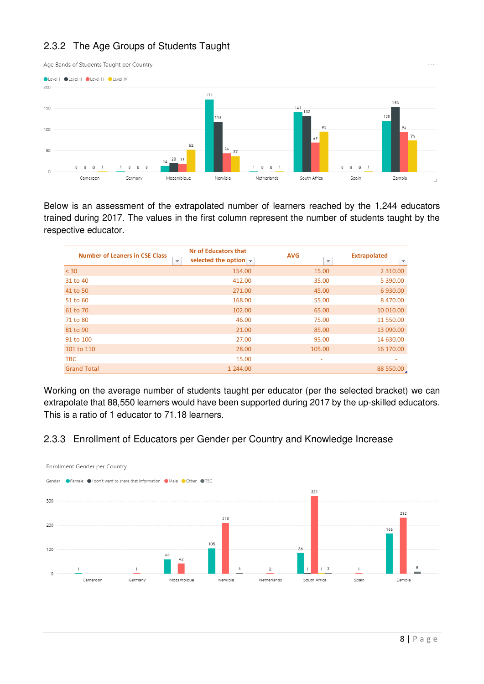# <span id="page-7-0"></span>2.3.2 The Age Groups of Students Taught



Below is an assessment of the extrapolated number of learners reached by the 1,244 educators trained during 2017. The values in the first column represent the number of students taught by the respective educator.

| <b>Number of Leaners in CSE Class</b><br>$\mathbf{v}$ | Nr of Educators that<br>selected the option $\blacktriangledown$ | <b>AVG</b><br>$\overline{\phantom{a}}$ | <b>Extrapolated</b><br>$\overline{\mathbf{v}}$ |
|-------------------------------------------------------|------------------------------------------------------------------|----------------------------------------|------------------------------------------------|
| < 30                                                  | 154.00                                                           | 15.00                                  | 2 3 1 0 . 0 0                                  |
| 31 to 40                                              | 412.00                                                           | 35.00                                  | 5 390.00                                       |
| 41 to 50                                              | 271.00                                                           | 45.00                                  | 6 930.00                                       |
| 51 to 60                                              | 168.00                                                           | 55.00                                  | 8 470.00                                       |
| 61 to 70                                              | 102.00                                                           | 65.00                                  | 10 010.00                                      |
| 71 to 80                                              | 46.00                                                            | 75.00                                  | 11 550.00                                      |
| 81 to 90                                              | 21.00                                                            | 85.00                                  | 13 090.00                                      |
| 91 to 100                                             | 27.00                                                            | 95.00                                  | 14 630.00                                      |
| 101 to 110                                            | 28.00                                                            | 105.00                                 | 16 170.00                                      |
| <b>TBC</b>                                            | 15.00                                                            | ۰                                      |                                                |
| <b>Grand Total</b>                                    | 1 244.00                                                         |                                        | 88 550.00                                      |

Working on the average number of students taught per educator (per the selected bracket) we can extrapolate that 88,550 learners would have been supported during 2017 by the up-skilled educators. This is a ratio of 1 educator to 71.18 learners.

## <span id="page-7-1"></span>2.3.3 Enrollment of Educators per Gender per Country and Knowledge Increase

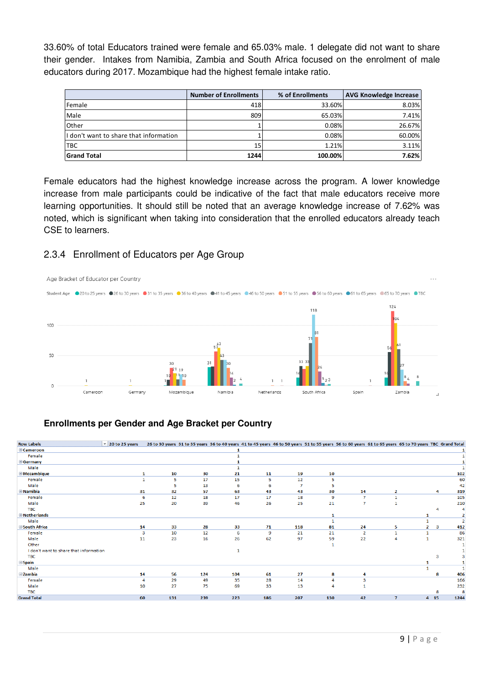33.60% of total Educators trained were female and 65.03% male. 1 delegate did not want to share their gender. Intakes from Namibia, Zambia and South Africa focused on the enrolment of male educators during 2017. Mozambique had the highest female intake ratio.

|                                         | <b>Number of Enrollments</b> | % of Enrollments | <b>AVG Knowledge Increase</b> |
|-----------------------------------------|------------------------------|------------------|-------------------------------|
| Female                                  | 418                          | 33.60%           | 8.03%                         |
| Male                                    | 809                          | 65.03%           | 7.41%                         |
| Other                                   |                              | 0.08%            | 26.67%                        |
| If don't want to share that information |                              | 0.08%            | 60.00%                        |
| <b>TBC</b>                              | 15                           | 1.21%            | 3.11%                         |
| <b>Grand Total</b>                      | 1244                         | 100.00%          | 7.62%                         |

Female educators had the highest knowledge increase across the program. A lower knowledge increase from male participants could be indicative of the fact that male educators receive more learning opportunities. It should still be noted that an average knowledge increase of 7.62% was noted, which is significant when taking into consideration that the enrolled educators already teach CSE to learners.

## <span id="page-8-0"></span>2.3.4 Enrollment of Educators per Age Group



### **Enrollments per Gender and Age Bracket per Country**

| <b>Row Labels</b>                      | $\triangledown$ 20 to 25 years |         | 26 to 30 years 31 to 35 years 36 to 40 years 41 to 45 years 46 to 50 years 51 to 55 years 56 to 60 years 61 to 65 years 65 to 70 years TBC Grand Total |     |     |     |                |                |                |              |      |                |
|----------------------------------------|--------------------------------|---------|--------------------------------------------------------------------------------------------------------------------------------------------------------|-----|-----|-----|----------------|----------------|----------------|--------------|------|----------------|
| <b>E</b> Cameroon                      |                                |         |                                                                                                                                                        | 1   |     |     |                |                |                |              |      |                |
| Female                                 |                                |         |                                                                                                                                                        |     |     |     |                |                |                |              |      |                |
| Germany                                |                                |         |                                                                                                                                                        |     |     |     |                |                |                |              |      |                |
|                                        |                                |         |                                                                                                                                                        |     |     |     |                |                |                |              |      |                |
| Male                                   |                                |         |                                                                                                                                                        |     |     |     |                |                |                |              |      |                |
| <b>E</b> Mozambique                    |                                | 10<br>1 | 30                                                                                                                                                     | 21  | 11  | 19  | 10             |                |                |              |      | 102            |
| Female                                 |                                | 5       | 17                                                                                                                                                     | 15  | 5   | 12  | 5              |                |                |              |      | 60             |
| Male                                   |                                | 5       | 13                                                                                                                                                     | 6   | 6   |     | 5              |                |                |              |      | 42             |
| <b>E</b> Namibia                       | 31                             | 32      | 57                                                                                                                                                     | 63  | 43  | 43  | 30             | 14             | 2              |              | 4    | 319            |
| Female                                 |                                | 12<br>6 | 18                                                                                                                                                     | 17  | 17  | 18  | $\overline{9}$ | ÷,             | $\mathbf{1}$   |              |      | 105            |
| Male                                   | 25                             | 20      | 39                                                                                                                                                     | 46  | 26  | 25  | 21             | 7              |                |              |      | 210            |
| <b>TBC</b>                             |                                |         |                                                                                                                                                        |     |     |     |                |                |                |              |      | 4              |
| <b>E</b> Netherlands                   |                                |         |                                                                                                                                                        |     |     |     | 1              |                |                | 1            |      | 2              |
| Male                                   |                                |         |                                                                                                                                                        |     |     |     | -1             |                |                |              |      | $\overline{2}$ |
| South Africa                           | 14                             | 33      | 28                                                                                                                                                     | 33  | 71  | 118 | 81             | 24             | 5              | $\mathbf{2}$ | 3    | 412            |
| Female                                 |                                | з<br>10 | 12                                                                                                                                                     | 6   | 9   | 21  | 21             | $\overline{2}$ | 1              | $\mathbf{1}$ |      | 86             |
| Male                                   | 11                             | 23      | 16                                                                                                                                                     | 26  | 62  | 97  | 59             | 22             | 4              | 1            |      | 321            |
| Other                                  |                                |         |                                                                                                                                                        |     |     |     | 1              |                |                |              |      |                |
| I don't want to share that information |                                |         |                                                                                                                                                        | 1   |     |     |                |                |                |              |      |                |
| <b>TBC</b>                             |                                |         |                                                                                                                                                        |     |     |     |                |                |                |              |      |                |
| <b>Spain</b>                           |                                |         |                                                                                                                                                        |     |     |     |                |                |                |              |      |                |
| Male                                   |                                |         |                                                                                                                                                        |     |     |     |                |                |                |              |      |                |
| <b>Ezambia</b>                         | 14                             | 56      | 124                                                                                                                                                    | 104 | 61  | 27  | 8              |                |                |              | 8    | 406            |
| Female                                 |                                | 29<br>4 | 49                                                                                                                                                     | 35  | 28  | 14  | 4              | 3              |                |              |      | 166            |
| Male                                   | 10                             | 27      | 75                                                                                                                                                     | 69  | 33  | 13  | 4              |                |                |              |      | 232            |
| <b>TBC</b>                             |                                |         |                                                                                                                                                        |     |     |     |                |                |                |              | 8    | 8              |
| <b>Grand Total</b>                     | 60                             | 131     | 239                                                                                                                                                    | 223 | 186 | 207 | 130            | 42             | $\overline{7}$ |              | 4 15 | 1244           |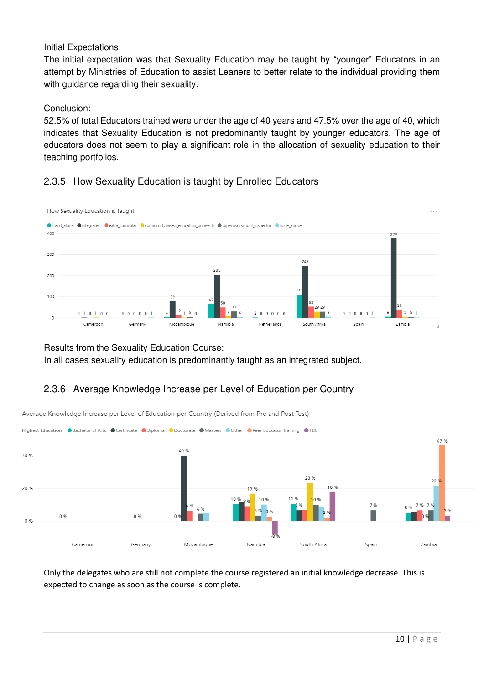Initial Expectations:

The initial expectation was that Sexuality Education may be taught by "younger" Educators in an attempt by Ministries of Education to assist Leaners to better relate to the individual providing them with guidance regarding their sexuality.

#### Conclusion:

52.5% of total Educators trained were under the age of 40 years and 47.5% over the age of 40, which indicates that Sexuality Education is not predominantly taught by younger educators. The age of educators does not seem to play a significant role in the allocation of sexuality education to their teaching portfolios.

## <span id="page-9-0"></span>2.3.5 How Sexuality Education is taught by Enrolled Educators



#### Results from the Sexuality Education Course:

In all cases sexuality education is predominantly taught as an integrated subject.

## <span id="page-9-1"></span>2.3.6 Average Knowledge Increase per Level of Education per Country



Average Knowledge Increase per Level of Education per Country (Derived from Pre and Post Test)

Only the delegates who are still not complete the course registered an initial knowledge decrease. This is expected to change as soon as the course is complete.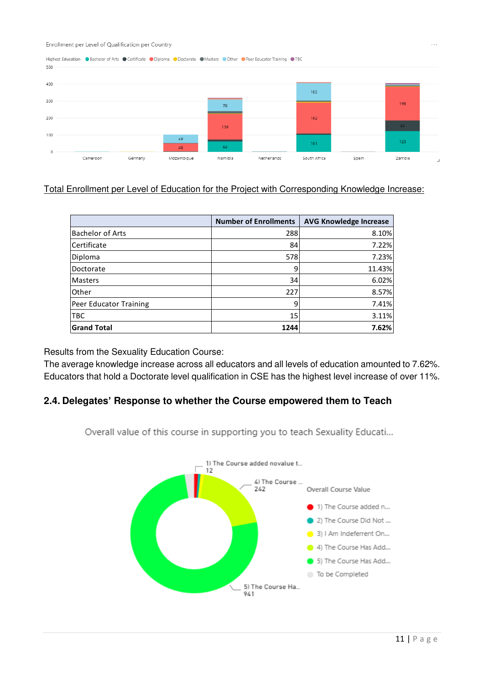Enrollment per Level of Qualification per Country



## Total Enrollment per Level of Education for the Project with Corresponding Knowledge Increase:

|                         | <b>Number of Enrollments</b> | <b>AVG Knowledge Increase</b> |  |  |
|-------------------------|------------------------------|-------------------------------|--|--|
| <b>Bachelor of Arts</b> | 288                          | 8.10%                         |  |  |
| Certificate             | 84                           | 7.22%                         |  |  |
| Diploma                 | 578                          | 7.23%                         |  |  |
| Doctorate               | 9                            | 11.43%                        |  |  |
| <b>Masters</b>          | 34                           | 6.02%                         |  |  |
| Other                   | 227                          | 8.57%                         |  |  |
| Peer Educator Training  | 9                            | 7.41%                         |  |  |
| <b>TBC</b>              | 15                           | 3.11%                         |  |  |
| <b>Grand Total</b>      | 1244                         | 7.62%                         |  |  |

Results from the Sexuality Education Course:

The average knowledge increase across all educators and all levels of education amounted to 7.62%. Educators that hold a Doctorate level qualification in CSE has the highest level increase of over 11%.

## <span id="page-10-0"></span>**2.4. Delegates' Response to whether the Course empowered them to Teach**

Overall value of this course in supporting you to teach Sexuality Educati...

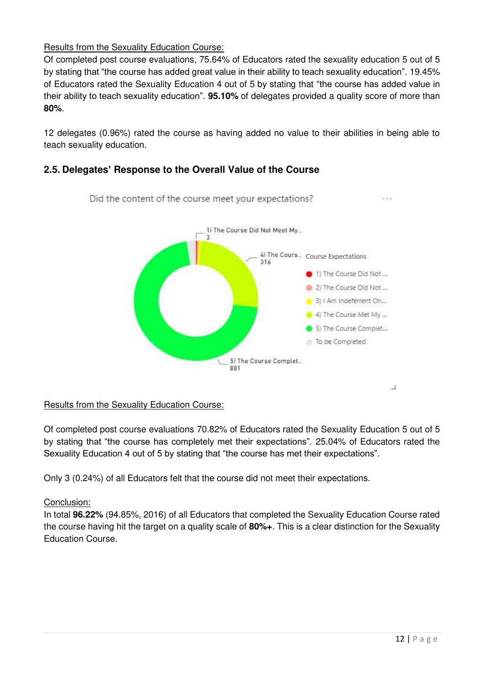## Results from the Sexuality Education Course:

Of completed post course evaluations, 75.64% of Educators rated the sexuality education 5 out of 5 by stating that "the course has added great value in their ability to teach sexuality education". 19.45% of Educators rated the Sexuality Education 4 out of 5 by stating that "the course has added value in their ability to teach sexuality education". **95.10%** of delegates provided a quality score of more than **80%**.

12 delegates (0.96%) rated the course as having added no value to their abilities in being able to teach sexuality education.

## <span id="page-11-0"></span>**2.5. Delegates' Response to the Overall Value of the Course**



### Results from the Sexuality Education Course:

Of completed post course evaluations 70.82% of Educators rated the Sexuality Education 5 out of 5 by stating that "the course has completely met their expectations". 25.04% of Educators rated the Sexuality Education 4 out of 5 by stating that "the course has met their expectations".

Only 3 (0.24%) of all Educators felt that the course did not meet their expectations.

### Conclusion:

In total **96.22%** (94.85%, 2016) of all Educators that completed the Sexuality Education Course rated the course having hit the target on a quality scale of **80%+**. This is a clear distinction for the Sexuality Education Course.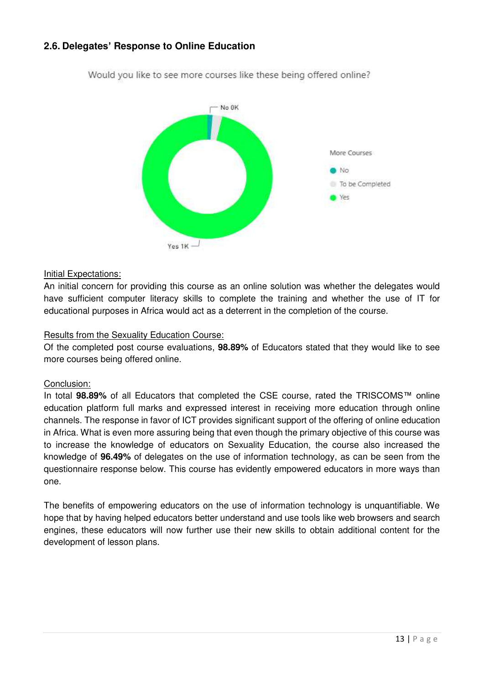## <span id="page-12-0"></span>**2.6. Delegates' Response to Online Education**



Would you like to see more courses like these being offered online?

#### Initial Expectations:

An initial concern for providing this course as an online solution was whether the delegates would have sufficient computer literacy skills to complete the training and whether the use of IT for educational purposes in Africa would act as a deterrent in the completion of the course.

#### Results from the Sexuality Education Course:

Of the completed post course evaluations, **98.89%** of Educators stated that they would like to see more courses being offered online.

#### Conclusion:

In total **98.89%** of all Educators that completed the CSE course, rated the TRISCOMS™ online education platform full marks and expressed interest in receiving more education through online channels. The response in favor of ICT provides significant support of the offering of online education in Africa. What is even more assuring being that even though the primary objective of this course was to increase the knowledge of educators on Sexuality Education, the course also increased the knowledge of **96.49%** of delegates on the use of information technology, as can be seen from the questionnaire response below. This course has evidently empowered educators in more ways than one.

The benefits of empowering educators on the use of information technology is unquantifiable. We hope that by having helped educators better understand and use tools like web browsers and search engines, these educators will now further use their new skills to obtain additional content for the development of lesson plans.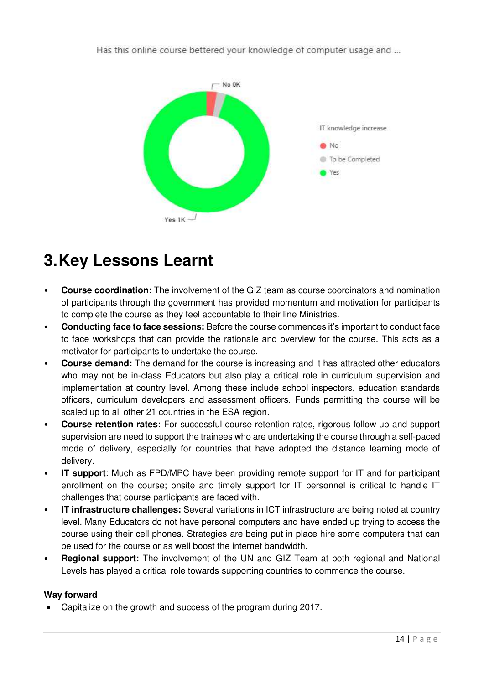Has this online course bettered your knowledge of computer usage and ...



# <span id="page-13-0"></span>**3. Key Lessons Learnt**

- **Course coordination:** The involvement of the GIZ team as course coordinators and nomination of participants through the government has provided momentum and motivation for participants to complete the course as they feel accountable to their line Ministries.
- **Conducting face to face sessions:** Before the course commences it's important to conduct face to face workshops that can provide the rationale and overview for the course. This acts as a motivator for participants to undertake the course.
- **Course demand:** The demand for the course is increasing and it has attracted other educators who may not be in-class Educators but also play a critical role in curriculum supervision and implementation at country level. Among these include school inspectors, education standards officers, curriculum developers and assessment officers. Funds permitting the course will be scaled up to all other 21 countries in the ESA region.
- **Course retention rates:** For successful course retention rates, rigorous follow up and support supervision are need to support the trainees who are undertaking the course through a self-paced mode of delivery, especially for countries that have adopted the distance learning mode of delivery.
- **IT support:** Much as FPD/MPC have been providing remote support for IT and for participant enrollment on the course; onsite and timely support for IT personnel is critical to handle IT challenges that course participants are faced with.
- **IT infrastructure challenges:** Several variations in ICT infrastructure are being noted at country level. Many Educators do not have personal computers and have ended up trying to access the course using their cell phones. Strategies are being put in place hire some computers that can be used for the course or as well boost the internet bandwidth.
- **Regional support:** The involvement of the UN and GIZ Team at both regional and National Levels has played a critical role towards supporting countries to commence the course.

## **Way forward**

Capitalize on the growth and success of the program during 2017.